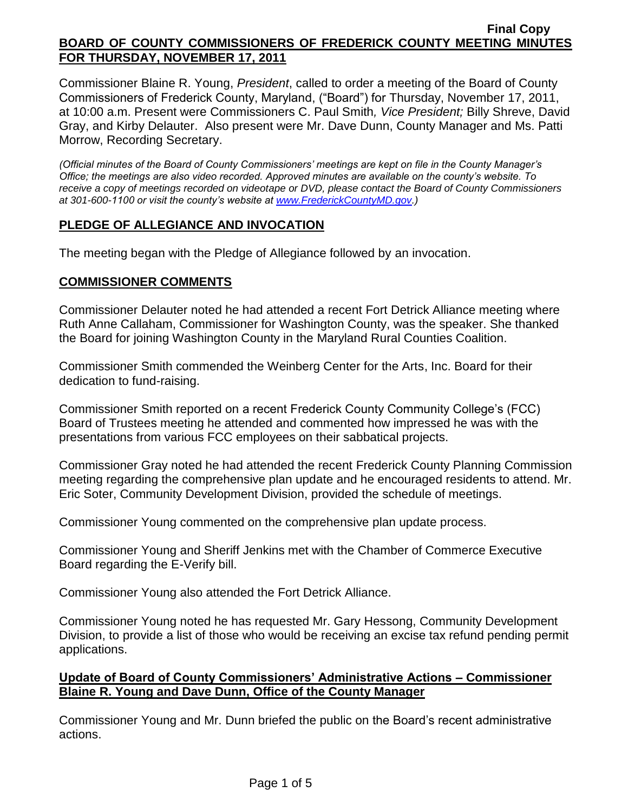Commissioner Blaine R. Young, *President*, called to order a meeting of the Board of County Commissioners of Frederick County, Maryland, ("Board") for Thursday, November 17, 2011, at 10:00 a.m. Present were Commissioners C. Paul Smith*, Vice President;* Billy Shreve, David Gray, and Kirby Delauter. Also present were Mr. Dave Dunn, County Manager and Ms. Patti Morrow, Recording Secretary.

*(Official minutes of the Board of County Commissioners' meetings are kept on file in the County Manager's Office; the meetings are also video recorded. Approved minutes are available on the county's website. To receive a copy of meetings recorded on videotape or DVD, please contact the Board of County Commissioners at 301-600-1100 or visit the county's website at [www.FrederickCountyMD.gov.](http://www.frederickcountymd.gov/))*

# **PLEDGE OF ALLEGIANCE AND INVOCATION**

The meeting began with the Pledge of Allegiance followed by an invocation.

### **COMMISSIONER COMMENTS**

Commissioner Delauter noted he had attended a recent Fort Detrick Alliance meeting where Ruth Anne Callaham, Commissioner for Washington County, was the speaker. She thanked the Board for joining Washington County in the Maryland Rural Counties Coalition.

Commissioner Smith commended the Weinberg Center for the Arts, Inc. Board for their dedication to fund-raising.

Commissioner Smith reported on a recent Frederick County Community College's (FCC) Board of Trustees meeting he attended and commented how impressed he was with the presentations from various FCC employees on their sabbatical projects.

Commissioner Gray noted he had attended the recent Frederick County Planning Commission meeting regarding the comprehensive plan update and he encouraged residents to attend. Mr. Eric Soter, Community Development Division, provided the schedule of meetings.

Commissioner Young commented on the comprehensive plan update process.

Commissioner Young and Sheriff Jenkins met with the Chamber of Commerce Executive Board regarding the E-Verify bill.

Commissioner Young also attended the Fort Detrick Alliance.

Commissioner Young noted he has requested Mr. Gary Hessong, Community Development Division, to provide a list of those who would be receiving an excise tax refund pending permit applications.

### **Update of Board of County Commissioners' Administrative Actions – Commissioner Blaine R. Young and Dave Dunn, Office of the County Manager**

Commissioner Young and Mr. Dunn briefed the public on the Board's recent administrative actions.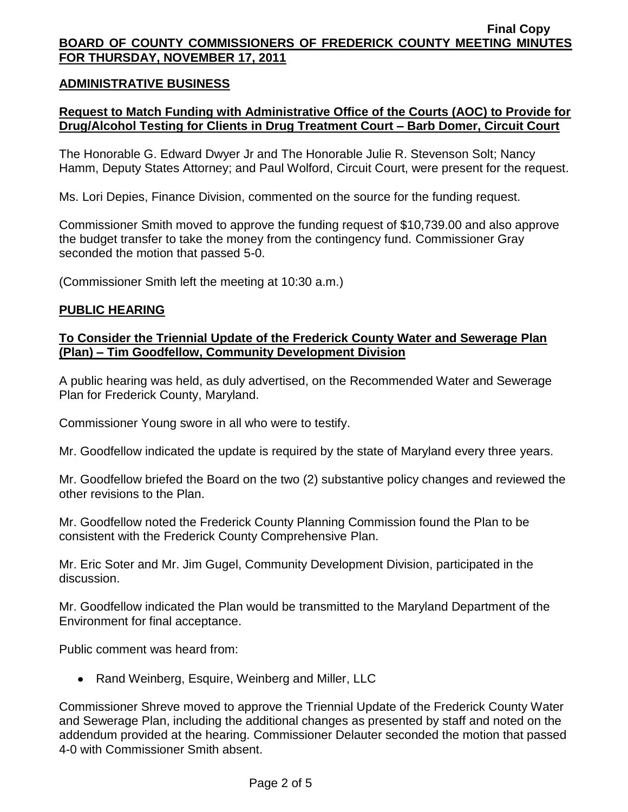### **ADMINISTRATIVE BUSINESS**

## **Request to Match Funding with Administrative Office of the Courts (AOC) to Provide for Drug/Alcohol Testing for Clients in Drug Treatment Court – Barb Domer, Circuit Court**

The Honorable G. Edward Dwyer Jr and The Honorable Julie R. Stevenson Solt; Nancy Hamm, Deputy States Attorney; and Paul Wolford, Circuit Court, were present for the request.

Ms. Lori Depies, Finance Division, commented on the source for the funding request.

Commissioner Smith moved to approve the funding request of \$10,739.00 and also approve the budget transfer to take the money from the contingency fund. Commissioner Gray seconded the motion that passed 5-0.

(Commissioner Smith left the meeting at 10:30 a.m.)

#### **PUBLIC HEARING**

### **To Consider the Triennial Update of the Frederick County Water and Sewerage Plan (Plan) – Tim Goodfellow, Community Development Division**

A public hearing was held, as duly advertised, on the Recommended Water and Sewerage Plan for Frederick County, Maryland.

Commissioner Young swore in all who were to testify.

Mr. Goodfellow indicated the update is required by the state of Maryland every three years.

Mr. Goodfellow briefed the Board on the two (2) substantive policy changes and reviewed the other revisions to the Plan.

Mr. Goodfellow noted the Frederick County Planning Commission found the Plan to be consistent with the Frederick County Comprehensive Plan.

Mr. Eric Soter and Mr. Jim Gugel, Community Development Division, participated in the discussion.

Mr. Goodfellow indicated the Plan would be transmitted to the Maryland Department of the Environment for final acceptance.

Public comment was heard from:

• Rand Weinberg, Esquire, Weinberg and Miller, LLC

Commissioner Shreve moved to approve the Triennial Update of the Frederick County Water and Sewerage Plan, including the additional changes as presented by staff and noted on the addendum provided at the hearing. Commissioner Delauter seconded the motion that passed 4-0 with Commissioner Smith absent.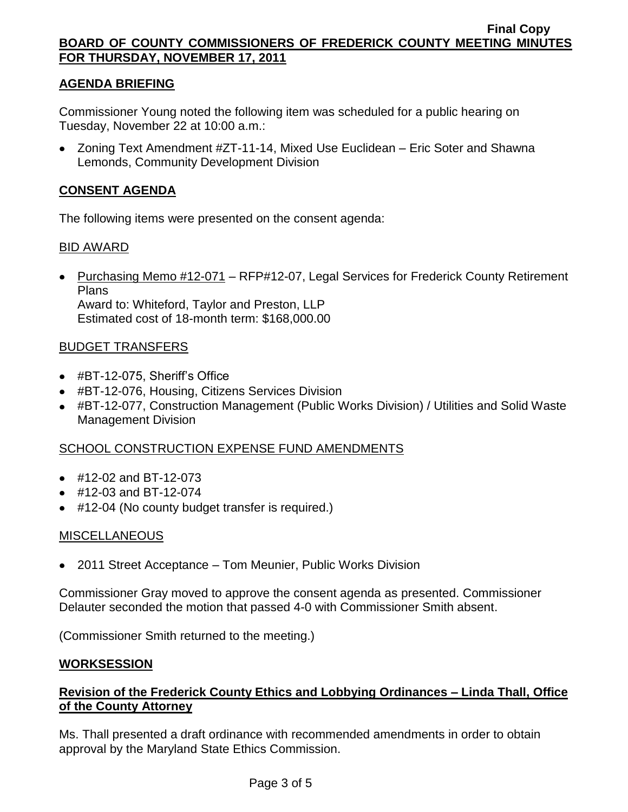# **AGENDA BRIEFING**

Commissioner Young noted the following item was scheduled for a public hearing on Tuesday, November 22 at 10:00 a.m.:

Zoning Text Amendment #ZT-11-14, Mixed Use Euclidean – Eric Soter and Shawna Lemonds, Community Development Division

# **CONSENT AGENDA**

The following items were presented on the consent agenda:

### BID AWARD

• Purchasing Memo #12-071 – RFP#12-07, Legal Services for Frederick County Retirement Plans Award to: Whiteford, Taylor and Preston, LLP Estimated cost of 18-month term: \$168,000.00

### BUDGET TRANSFERS

- #BT-12-075, Sheriff's Office
- #BT-12-076, Housing, Citizens Services Division
- #BT-12-077, Construction Management (Public Works Division) / Utilities and Solid Waste Management Division

### SCHOOL CONSTRUCTION EXPENSE FUND AMENDMENTS

- #12-02 and BT-12-073
- #12-03 and BT-12-074
- #12-04 (No county budget transfer is required.)

### MISCELLANEOUS

2011 Street Acceptance – Tom Meunier, Public Works Division

Commissioner Gray moved to approve the consent agenda as presented. Commissioner Delauter seconded the motion that passed 4-0 with Commissioner Smith absent.

(Commissioner Smith returned to the meeting.)

### **WORKSESSION**

### **Revision of the Frederick County Ethics and Lobbying Ordinances – Linda Thall, Office of the County Attorney**

Ms. Thall presented a draft ordinance with recommended amendments in order to obtain approval by the Maryland State Ethics Commission.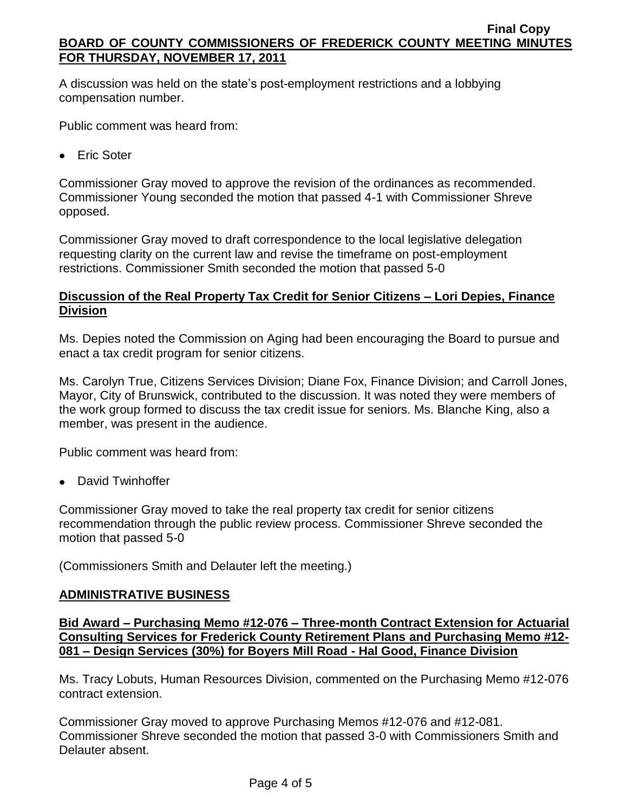A discussion was held on the state's post-employment restrictions and a lobbying compensation number.

Public comment was heard from:

• Eric Soter

Commissioner Gray moved to approve the revision of the ordinances as recommended. Commissioner Young seconded the motion that passed 4-1 with Commissioner Shreve opposed.

Commissioner Gray moved to draft correspondence to the local legislative delegation requesting clarity on the current law and revise the timeframe on post-employment restrictions. Commissioner Smith seconded the motion that passed 5-0

# **Discussion of the Real Property Tax Credit for Senior Citizens – Lori Depies, Finance Division**

Ms. Depies noted the Commission on Aging had been encouraging the Board to pursue and enact a tax credit program for senior citizens.

Ms. Carolyn True, Citizens Services Division; Diane Fox, Finance Division; and Carroll Jones, Mayor, City of Brunswick, contributed to the discussion. It was noted they were members of the work group formed to discuss the tax credit issue for seniors. Ms. Blanche King, also a member, was present in the audience.

Public comment was heard from:

• David Twinhoffer

Commissioner Gray moved to take the real property tax credit for senior citizens recommendation through the public review process. Commissioner Shreve seconded the motion that passed 5-0

(Commissioners Smith and Delauter left the meeting.)

### **ADMINISTRATIVE BUSINESS**

**Bid Award – Purchasing Memo #12-076 – Three-month Contract Extension for Actuarial Consulting Services for Frederick County Retirement Plans and Purchasing Memo #12- 081 – Design Services (30%) for Boyers Mill Road - Hal Good, Finance Division**

Ms. Tracy Lobuts, Human Resources Division, commented on the Purchasing Memo #12-076 contract extension.

Commissioner Gray moved to approve Purchasing Memos #12-076 and #12-081. Commissioner Shreve seconded the motion that passed 3-0 with Commissioners Smith and Delauter absent.